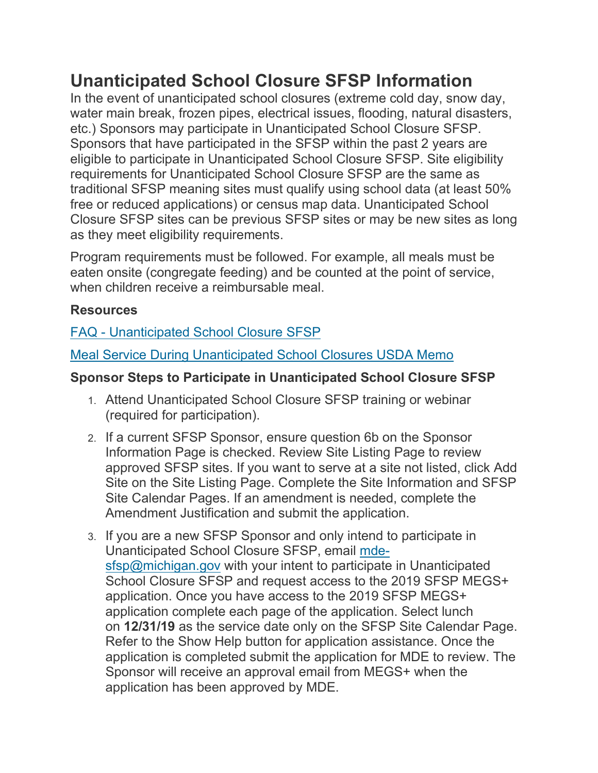## **Unanticipated School Closure SFSP Information**

In the event of unanticipated school closures (extreme cold day, snow day, water main break, frozen pipes, electrical issues, flooding, natural disasters, etc.) Sponsors may participate in Unanticipated School Closure SFSP. Sponsors that have participated in the SFSP within the past 2 years are eligible to participate in Unanticipated School Closure SFSP. Site eligibility requirements for Unanticipated School Closure SFSP are the same as traditional SFSP meaning sites must qualify using school data (at least 50% free or reduced applications) or census map data. Unanticipated School Closure SFSP sites can be previous SFSP sites or may be new sites as long as they meet eligibility requirements.

Program requirements must be followed. For example, all meals must be eaten onsite (congregate feeding) and be counted at the point of service, when children receive a reimbursable meal.

## **Resources**

## FAQ - [Unanticipated School Closure SFSP](https://www.michigan.gov/documents/mde/FAQ_Emergency_Closure_SFSP_650155_7.pdf)

[Meal Service During Unanticipated School Closures USDA Memo](https://fns-prod.azureedge.net/sites/default/files/resource-files/SP04_CACFP03_SFSP03-2020os.pdf)

## **Sponsor Steps to Participate in Unanticipated School Closure SFSP**

- 1. Attend Unanticipated School Closure SFSP training or webinar (required for participation).
- 2. If a current SFSP Sponsor, ensure question 6b on the Sponsor Information Page is checked. Review Site Listing Page to review approved SFSP sites. If you want to serve at a site not listed, click Add Site on the Site Listing Page. Complete the Site Information and SFSP Site Calendar Pages. If an amendment is needed, complete the Amendment Justification and submit the application.
- 3. If you are a new SFSP Sponsor and only intend to participate in Unanticipated School Closure SFSP, email [mde](mailto:mde-sfsp@michigan.gov)[sfsp@michigan.gov](mailto:mde-sfsp@michigan.gov) with your intent to participate in Unanticipated School Closure SFSP and request access to the 2019 SFSP MEGS+ application. Once you have access to the 2019 SFSP MEGS+ application complete each page of the application. Select lunch on **12/31/19** as the service date only on the SFSP Site Calendar Page. Refer to the Show Help button for application assistance. Once the application is completed submit the application for MDE to review. The Sponsor will receive an approval email from MEGS+ when the application has been approved by MDE.